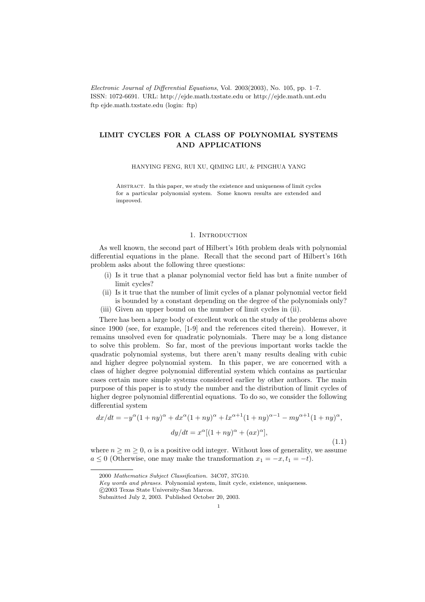Electronic Journal of Differential Equations, Vol. 2003(2003), No. 105, pp. 1–7. ISSN: 1072-6691. URL: http://ejde.math.txstate.edu or http://ejde.math.unt.edu ftp ejde.math.txstate.edu (login: ftp)

## LIMIT CYCLES FOR A CLASS OF POLYNOMIAL SYSTEMS AND APPLICATIONS

HANYING FENG, RUI XU, QIMING LIU, & PINGHUA YANG

Abstract. In this paper, we study the existence and uniqueness of limit cycles for a particular polynomial system. Some known results are extended and improved.

## 1. INTRODUCTION

As well known, the second part of Hilbert's 16th problem deals with polynomial differential equations in the plane. Recall that the second part of Hilbert's 16th problem asks about the following three questions:

- (i) Is it true that a planar polynomial vector field has but a finite number of limit cycles?
- (ii) Is it true that the number of limit cycles of a planar polynomial vector field is bounded by a constant depending on the degree of the polynomials only?
- (iii) Given an upper bound on the number of limit cycles in (ii).

There has been a large body of excellent work on the study of the problems above since 1900 (see, for example, [1-9] and the references cited therein). However, it remains unsolved even for quadratic polynomials. There may be a long distance to solve this problem. So far, most of the previous important works tackle the quadratic polynomial systems, but there aren't many results dealing with cubic and higher degree polynomial system. In this paper, we are concerned with a class of higher degree polynomial differential system which contains as particular cases certain more simple systems considered earlier by other authors. The main purpose of this paper is to study the number and the distribution of limit cycles of higher degree polynomial differential equations. To do so, we consider the following differential system

$$
dx/dt = -y^{\alpha}(1+ny)^{\alpha} + dx^{\alpha}(1+ny)^{\alpha} + lx^{\alpha+1}(1+ny)^{\alpha-1} - my^{\alpha+1}(1+ny)^{\alpha},
$$

$$
dy/dt = x^{\alpha}[(1+ny)^{\alpha} + (ax)^{\alpha}],
$$
(1.1)

where  $n \geq m \geq 0$ ,  $\alpha$  is a positive odd integer. Without loss of generality, we assume  $a \leq 0$  (Otherwise, one may make the transformation  $x_1 = -x, t_1 = -t$ ).

<sup>2000</sup> Mathematics Subject Classification. 34C07, 37G10.

Key words and phrases. Polynomial system, limit cycle, existence, uniqueness.

c 2003 Texas State University-San Marcos.

Submitted July 2, 2003. Published October 20, 2003.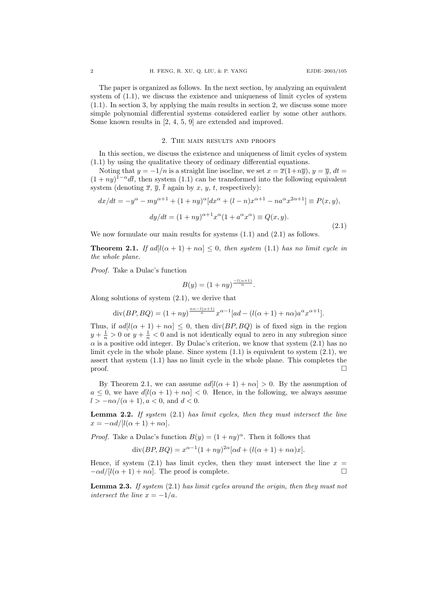The paper is organized as follows. In the next section, by analyzing an equivalent system of (1.1), we discuss the existence and uniqueness of limit cycles of system (1.1). In section 3, by applying the main results in section 2, we discuss some more simple polynomial differential systems considered earlier by some other authors. Some known results in [2, 4, 5, 9] are extended and improved.

## 2. The main results and proofs

In this section, we discuss the existence and uniqueness of limit cycles of system (1.1) by using the qualitative theory of ordinary differential equations.

Noting that  $y = -1/n$  is a straight line isocline, we set  $x = \overline{x}(1+n\overline{y})$ ,  $y = \overline{y}$ ,  $dt =$  $(1 + ny)^{1-\alpha}d\bar{t}$ , then system (1.1) can be transformed into the following equivalent system (denoting  $\overline{x}, \overline{y}, \overline{t}$  again by x, y, t, respectively):

$$
dx/dt = -y^{\alpha} - my^{\alpha+1} + (1+ny)^{\alpha} [dx^{\alpha} + (l-n)x^{\alpha+1} - na^{\alpha}x^{2\alpha+1}] \equiv P(x, y),
$$

$$
dy/dt = (1+ny)^{\alpha+1} x^{\alpha} (1 + a^{\alpha}x^{\alpha}) \equiv Q(x, y).
$$
(2.1)

We now formulate our main results for systems  $(1.1)$  and  $(2.1)$  as follows.

**Theorem 2.1.** If  $ad[l(\alpha + 1) + n\alpha] \leq 0$ , then system (1.1) has no limit cycle in the whole plane.

Proof. Take a Dulac's function

$$
B(y) = (1 + ny)^{\frac{-l(\alpha+1)}{n}}.
$$

Along solutions of system (2.1), we derive that

$$
\operatorname{div}(BP, BQ) = (1+ny)^{\frac{n\alpha - l(\alpha+1)}{n}} x^{\alpha-1} [ad - (l(\alpha+1) + n\alpha)a^{\alpha} x^{\alpha+1}].
$$

Thus, if  $ad[l(\alpha + 1) + n\alpha] \leq 0$ , then  $div(BP, BQ)$  is of fixed sign in the region  $y + \frac{1}{n} > 0$  or  $y + \frac{1}{n} < 0$  and is not identically equal to zero in any subregion since  $\alpha$  is a positive odd integer. By Dulac's criterion, we know that system  $(2.1)$  has no limit cycle in the whole plane. Since system  $(1.1)$  is equivalent to system  $(2.1)$ , we assert that system (1.1) has no limit cycle in the whole plane. This completes the  $\Box$ 

By Theorem 2.1, we can assume  $ad[l(\alpha + 1) + n\alpha] > 0$ . By the assumption of  $a \leq 0$ , we have  $d[l(\alpha + 1) + n\alpha] < 0$ . Hence, in the following, we always assume  $l > -n\alpha/(\alpha+1), a < 0$ , and  $d < 0$ .

**Lemma 2.2.** If system  $(2.1)$  has limit cycles, then they must intersect the line  $x = -\alpha d / [l(\alpha + 1) + n\alpha].$ 

*Proof.* Take a Dulac's function  $B(y) = (1 + ny)^{\alpha}$ . Then it follows that

$$
\operatorname{div}(BP, BQ) = x^{\alpha - 1}(1 + ny)^{2\alpha}[\alpha d + (l(\alpha + 1) + n\alpha)x].
$$

Hence, if system (2.1) has limit cycles, then they must intersect the line  $x =$  $-\alpha d/[(\alpha + 1) + n\alpha]$ . The proof is complete.

Lemma 2.3. If system (2.1) has limit cycles around the origin, then they must not intersect the line  $x = -1/a$ .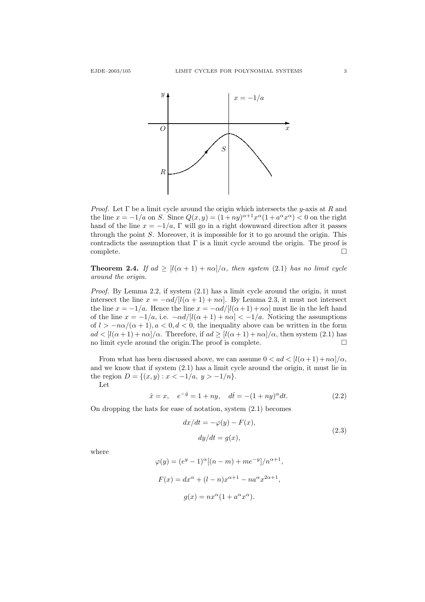

*Proof.* Let  $\Gamma$  be a limit cycle around the origin which intersects the y-axis at R and the line  $x = -1/a$  on S. Since  $Q(x, y) = (1 + ny)^{\alpha+1} x^{\alpha} (1 + a^{\alpha} x^{\alpha}) < 0$  on the right hand of the line  $x = -1/a$ , Γ will go in a right downward direction after it passes through the point  $S$ . Moreover, it is impossible for it to go around the origin. This contradicts the assumption that  $\Gamma$  is a limit cycle around the origin. The proof is  $\Box$ complete.  $\Box$ 

**Theorem 2.4.** If ad  $\geq$  [l( $\alpha + 1$ ) + n $\alpha$ ]/ $\alpha$ , then system (2.1) has no limit cycle around the origin.

Proof. By Lemma 2.2, if system (2.1) has a limit cycle around the origin, it must intersect the line  $x = -\alpha d/[l(\alpha + 1) + n\alpha]$ . By Lemma 2.3, it must not intersect the line  $x = -1/a$ . Hence the line  $x = -\alpha d/[l(\alpha + 1) + n\alpha]$  must lie in the left hand of the line  $x = -1/a$ , i.e.  $-\alpha d/[(\alpha + 1) + n\alpha] < -1/a$ . Noticing the assumptions of  $l > -n\alpha/(\alpha + 1)$ ,  $\alpha < 0$ ,  $d < 0$ , the inequality above can be written in the form  $ad < [l(\alpha+1)+n\alpha]/\alpha$ . Therefore, if  $ad \geq [l(\alpha+1)+n\alpha]/\alpha$ , then system (2.1) has no limit cycle around the origin.The proof is complete.

From what has been discussed above, we can assume  $0 < ad < [l(\alpha+1)+n\alpha]/\alpha$ , and we know that if system (2.1) has a limit cycle around the origin, it must lie in the region  $D = \{(x, y) : x < -1/a, y > -1/n\}.$ 

Let

$$
\hat{x} = x, \quad e^{-\hat{y}} = 1 + ny, \quad d\hat{t} = -(1 + ny)^{\alpha} dt.
$$
\n(2.2)

On dropping the hats for ease of notation, system (2.1) becomes

$$
dx/dt = -\varphi(y) - F(x),
$$
  
\n
$$
dy/dt = g(x),
$$
\n(2.3)

where

$$
\varphi(y) = (e^y - 1)^{\alpha} [(n - m) + me^{-y}] / n^{\alpha + 1},
$$
  

$$
F(x) = dx^{\alpha} + (l - n)x^{\alpha + 1} - na^{\alpha}x^{2\alpha + 1},
$$
  

$$
g(x) = nx^{\alpha} (1 + a^{\alpha}x^{\alpha}).
$$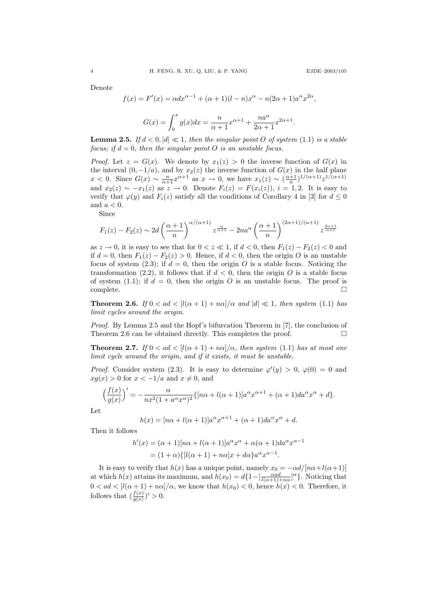,

Denote

$$
f(x) = F'(x) = \alpha dx^{\alpha - 1} + (\alpha + 1)(l - n)x^{\alpha} - n(2\alpha + 1)a^{\alpha}x^{2\alpha}
$$

$$
G(x) = \int_0^x g(x)dx = \frac{n}{\alpha + 1}x^{\alpha + 1} + \frac{na^{\alpha}}{2\alpha + 1}x^{2\alpha + 1}.
$$

**Lemma 2.5.** If  $d < 0, |d| \ll 1$ , then the singular point O of system (1.1) is a stable focus; if  $d = 0$ , then the singular point O is an unstable focus.

*Proof.* Let  $z = G(x)$ . We denote by  $x_1(z) > 0$  the inverse function of  $G(x)$  in the interval  $(0, -1/a)$ , and by  $x_2(z)$  the inverse function of  $G(x)$  in the half plane  $x < 0$ . Since  $G(x) \sim \frac{n}{\alpha+1} x^{\alpha+1}$  as  $x \to 0$ , we have  $x_1(z) \sim \left(\frac{\alpha+1}{n}\right)^{1/(\alpha+1)} z^{1/(\alpha+1)}$ and  $x_2(z) \sim -x_1(z)$  as  $z \to 0$ . Denote  $F_i(z) = F(x_i(z))$ ,  $i = 1, 2$ . It is easy to verify that  $\varphi(y)$  and  $F_i(z)$  satisfy all the conditions of Corollary 4 in [3] for  $d \leq 0$ and  $a < 0$ .

Since

$$
F_1(z) - F_2(z) \sim 2d\left(\frac{\alpha+1}{n}\right)^{\alpha/(\alpha+1)} z^{\frac{\alpha}{\alpha+1}} - 2na^{\alpha}\left(\frac{\alpha+1}{n}\right)^{(2\alpha+1)/(\alpha+1)} z^{\frac{2\alpha+1}{\alpha+1}}
$$

as  $z \to 0$ , it is easy to see that for  $0 < z \ll 1$ , if  $d < 0$ , then  $F_1(z) - F_2(z) < 0$  and if  $d = 0$ , then  $F_1(z) - F_2(z) > 0$ . Hence, if  $d < 0$ , then the origin O is an unstable focus of system (2.3); if  $d = 0$ , then the origin O is a stable focus. Noticing the transformation (2.2), it follows that if  $d < 0$ , then the origin O is a stable focus of system (1.1); if  $d = 0$ , then the origin O is an unstable focus. The proof is  $\Box$ complete.  $\Box$ 

**Theorem 2.6.** If  $0 < ad < [l(\alpha + 1) + n\alpha]/\alpha$  and  $|d| \ll 1$ , then system (1.1) has limit cycles around the origin.

Proof. By Lemma 2.5 and the Hopf's bifurcation Theorem in [7], the conclusion of Theorem 2.6 can be obtained directly. This completes the proof.  $\Box$ 

**Theorem 2.7.** If  $0 < ad < [l(\alpha + 1) + n\alpha]/\alpha$ , then system (1.1) has at most one limit cycle around the origin, and if it exists, it must be unstable.

*Proof.* Consider system (2.3). It is easy to determine  $\varphi'(y) > 0$ ,  $\varphi(0) = 0$  and  $xg(x) > 0$  for  $x < -1/a$  and  $x \neq 0$ , and

$$
\left(\frac{f(x)}{g(x)}\right)' = -\frac{\alpha}{nx^2(1 + a^{\alpha}x^{\alpha})^2} \{ [n\alpha + l(\alpha+1)]a^{\alpha}x^{\alpha+1} + (\alpha+1)da^{\alpha}x^{\alpha} + d \}.
$$

Let

$$
h(x) = [n\alpha + l(\alpha + 1)]a^{\alpha}x^{\alpha+1} + (\alpha + 1)da^{\alpha}x^{\alpha} + d.
$$

Then it follows

$$
h'(x) = (\alpha + 1)[n\alpha + l(\alpha + 1)]a^{\alpha}x^{\alpha} + \alpha(\alpha + 1)da^{\alpha}x^{\alpha-1}
$$
  
=  $(1 + \alpha)\{[l(\alpha + 1) + n\alpha]x + d\alpha\}a^{\alpha}x^{\alpha-1}.$ 

It is easy to verify that  $h(x)$  has a unique point, namely  $x_0 = -\alpha d / [n\alpha + l(\alpha+1)]$ at which  $h(x)$  attains its maximum, and  $h(x_0) = d\{1 - \left[\frac{\alpha ad}{l(\alpha+1)+n\alpha}\right]^{\alpha}\}\.$  Noticing that  $0 < ad < [l(\alpha+1)+n\alpha]/\alpha$ , we know that  $h(x_0) < 0$ , hence  $h(x) < 0$ . Therefore, it follows that  $\left(\frac{f(x)}{g(x)}\right)' > 0$ .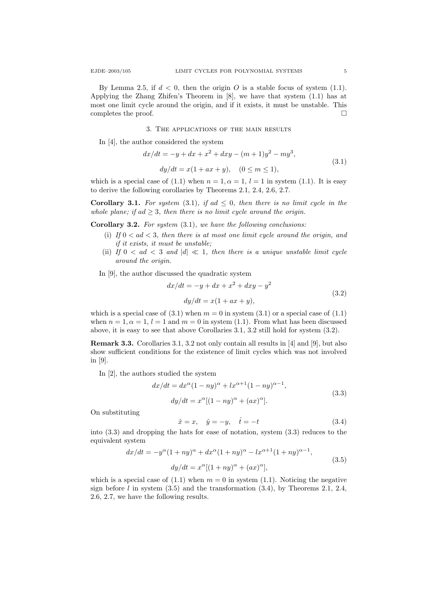By Lemma 2.5, if  $d < 0$ , then the origin O is a stable focus of system (1.1). Applying the Zhang Zhifen's Theorem in [8], we have that system (1.1) has at most one limit cycle around the origin, and if it exists, it must be unstable. This completes the proof.

3. The applications of the main results

In [4], the author considered the system

$$
dx/dt = -y + dx + x^{2} + dxy - (m+1)y^{2} - my^{3},
$$
  
\n
$$
dy/dt = x(1 + ax + y), \quad (0 \le m \le 1),
$$
\n(3.1)

which is a special case of (1.1) when  $n = 1, \alpha = 1, l = 1$  in system (1.1). It is easy to derive the following corollaries by Theorems 2.1, 2.4, 2.6, 2.7.

**Corollary 3.1.** For system (3.1), if ad  $\leq$  0, then there is no limit cycle in the whole plane; if ad  $\geq$  3, then there is no limit cycle around the origin.

**Corollary 3.2.** For system  $(3.1)$ , we have the following conclusions:

- (i) If  $0 < ad < 3$ , then there is at most one limit cycle around the origin, and if it exists, it must be unstable;
- (ii) If  $0 < ad < 3$  and  $|d| \ll 1$ , then there is a unique unstable limit cycle around the origin.
- In [9], the author discussed the quadratic system

$$
dx/dt = -y + dx + x2 + dxy - y2
$$
  

$$
dy/dt = x(1 + ax + y),
$$
 (3.2)

which is a special case of  $(3.1)$  when  $m = 0$  in system  $(3.1)$  or a special case of  $(1.1)$ when  $n = 1, \alpha = 1, l = 1$  and  $m = 0$  in system (1.1). From what has been discussed above, it is easy to see that above Corollaries 3.1, 3.2 still hold for system (3.2).

Remark 3.3. Corollaries 3.1, 3.2 not only contain all results in [4] and [9], but also show sufficient conditions for the existence of limit cycles which was not involved in [9].

In [2], the authors studied the system

$$
dx/dt = dx^{\alpha}(1 - ny)^{\alpha} + lx^{\alpha+1}(1 - ny)^{\alpha-1},
$$
  
\n
$$
dy/dt = x^{\alpha}[(1 - ny)^{\alpha} + (ax)^{\alpha}].
$$
\n(3.3)

On substituting

$$
\hat{x} = x, \quad \hat{y} = -y, \quad \hat{t} = -t \tag{3.4}
$$

into (3.3) and dropping the hats for ease of notation, system (3.3) reduces to the equivalent system

$$
dx/dt = -y^{\alpha}(1+ny)^{\alpha} + dx^{\alpha}(1+ny)^{\alpha} - lx^{\alpha+1}(1+ny)^{\alpha-1},
$$
  
\n
$$
dy/dt = x^{\alpha}[(1+ny)^{\alpha} + (ax)^{\alpha}],
$$
\n(3.5)

which is a special case of  $(1.1)$  when  $m = 0$  in system  $(1.1)$ . Noticing the negative sign before  $l$  in system  $(3.5)$  and the transformation  $(3.4)$ , by Theorems 2.1, 2.4, 2.6, 2.7, we have the following results.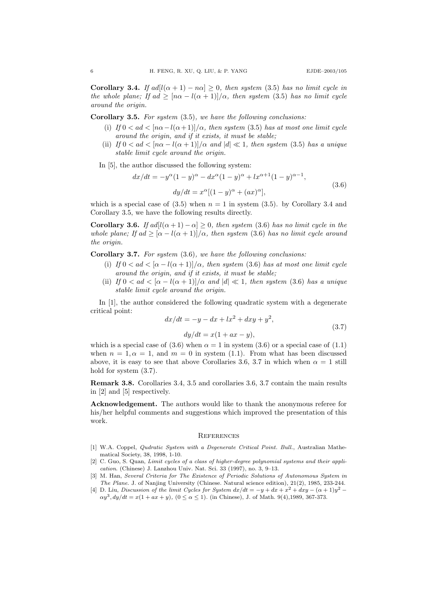**Corollary 3.4.** If  $adl(\alpha + 1) - n\alpha \geq 0$ , then system (3.5) has no limit cycle in the whole plane; If ad  $\geq \frac{\ln \alpha - l(\alpha + 1)}{\alpha}$ , then system (3.5) has no limit cycle around the origin.

Corollary 3.5. For system (3.5), we have the following conclusions:

- (i) If  $0 < ad < [n\alpha l(\alpha + 1)]/\alpha$ , then system (3.5) has at most one limit cycle around the origin, and if it exists, it must be stable;
- (ii) If  $0 < ad < [n\alpha l(\alpha + 1)]/\alpha$  and  $|d| \ll 1$ , then system (3.5) has a unique stable limit cycle around the origin.
- In [5], the author discussed the following system:

$$
dx/dt = -y^{\alpha}(1-y)^{\alpha} - dx^{\alpha}(1-y)^{\alpha} + lx^{\alpha+1}(1-y)^{\alpha-1},
$$
  
\n
$$
dy/dt = x^{\alpha}[(1-y)^{\alpha} + (ax)^{\alpha}],
$$
\n(3.6)

which is a special case of  $(3.5)$  when  $n = 1$  in system  $(3.5)$ . by Corollary 3.4 and Corollary 3.5, we have the following results directly.

Corollary 3.6. If  $ad[l(\alpha+1)-\alpha] \geq 0$ , then system (3.6) has no limit cycle in the whole plane; If ad  $\geq [\alpha - l(\alpha + 1)]/\alpha$ , then system (3.6) has no limit cycle around the origin.

Corollary 3.7. For system (3.6), we have the following conclusions:

- (i) If  $0 < ad < [\alpha l(\alpha + 1)]/\alpha$ , then system (3.6) has at most one limit cycle around the origin, and if it exists, it must be stable;
- (ii) If  $0 < ad < [\alpha l(\alpha + 1)]/\alpha$  and  $|d| \ll 1$ , then system (3.6) has a unique stable limit cycle around the origin.

In [1], the author considered the following quadratic system with a degenerate critical point:

$$
dx/dt = -y - dx + lx2 + dxy + y2,
$$
  
\n
$$
dy/dt = x(1 + ax - y),
$$
\n(3.7)

which is a special case of (3.6) when  $\alpha = 1$  in system (3.6) or a special case of (1.1) when  $n = 1, \alpha = 1$ , and  $m = 0$  in system (1.1). From what has been discussed above, it is easy to see that above Corollaries 3.6, 3.7 in which when  $\alpha = 1$  still hold for system (3.7).

Remark 3.8. Corollaries 3.4, 3.5 and corollaries 3.6, 3.7 contain the main results in [2] and [5] respectively.

Acknowledgement. The authors would like to thank the anonymous referee for his/her helpful comments and suggestions which improved the presentation of this work.

## **REFERENCES**

- [1] W.A. Coppel, Qudratic System with a Degenerate Critical Point. Bull., Australian Mathematical Society, 38, 1998, 1-10.
- [2] C. Guo, S. Quan, Limit cycles of a class of higher-degree polynomial systems and their application. (Chinese) J. Lanzhou Univ. Nat. Sci. 33 (1997), no. 3, 9–13.
- [3] M. Han, Several Criteria for The Existence of Periodic Solutions of Autonomous System in The Plane. J. of Nanjing University (Chinese. Natural science edition), 21(2), 1985, 233-244.
- [4] D. Liu, Discussion of the limit Cycles for System  $dx/dt = -y + dx + x^2 + dxy (\alpha + 1)y^2$  $\alpha y^3, dy/dt = x(1 + ax + y), (0 \le \alpha \le 1)$ . (in Chinese), J. of Math. 9(4), 1989, 367-373.